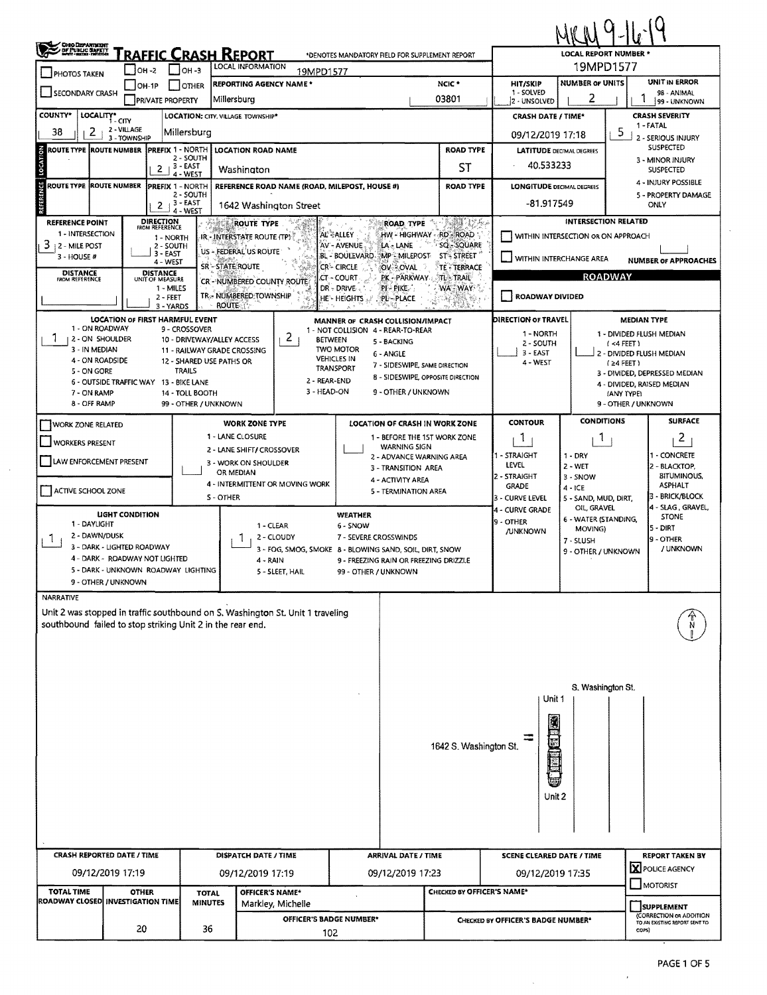| <b>CHO DEPARTMENT<br/>OF PUBLIC SAFETY</b><br>RAFFIC CRASH REPORT<br><b>LOCAL REPORT NUMBER *</b><br>*DENOTES MANDATORY FIELD FOR SUPPLEMENT REPORT<br>19MPD1577<br>LOCAL INFORMATION<br>$\Box$ OH-3<br>$OH - 2$<br>19MPD1577<br><b>PHOTOS TAKEN</b><br><b>NUMBER OF UNITS</b><br>NCIC <sup>*</sup><br>HIT/SKIP<br><b>REPORTING AGENCY NAME *</b><br>$\Box$ OH-1P<br><b>OTHER</b><br>1 - SOLVED<br><b>SECONDARY CRASH</b><br>2<br>03801<br>Millersburg<br><b>PRIVATE PROPERTY</b><br>2 - UNSOLVED<br><b>COUNTY*</b><br>LOCALITY* CITY<br><b>CRASH SEVERITY</b><br>LOCATION: CITY, VILLAGE. TOWNSHIP*<br><b>CRASH DATE / TIME*</b><br>1 - FATAL<br>2 - VILLAGE<br>2<br>38<br>5<br>Millersburg<br>09/12/2019 17:18<br>3 - TOWNSHIP                                                                                                                                                                       | <b>UNIT IN ERROR</b><br>98 - ANIMAL<br>99 - UNKNOWN                                                                                         |  |  |  |  |  |  |  |  |  |  |
|--------------------------------------------------------------------------------------------------------------------------------------------------------------------------------------------------------------------------------------------------------------------------------------------------------------------------------------------------------------------------------------------------------------------------------------------------------------------------------------------------------------------------------------------------------------------------------------------------------------------------------------------------------------------------------------------------------------------------------------------------------------------------------------------------------------------------------------------------------------------------------------------------------|---------------------------------------------------------------------------------------------------------------------------------------------|--|--|--|--|--|--|--|--|--|--|
|                                                                                                                                                                                                                                                                                                                                                                                                                                                                                                                                                                                                                                                                                                                                                                                                                                                                                                        |                                                                                                                                             |  |  |  |  |  |  |  |  |  |  |
|                                                                                                                                                                                                                                                                                                                                                                                                                                                                                                                                                                                                                                                                                                                                                                                                                                                                                                        |                                                                                                                                             |  |  |  |  |  |  |  |  |  |  |
|                                                                                                                                                                                                                                                                                                                                                                                                                                                                                                                                                                                                                                                                                                                                                                                                                                                                                                        |                                                                                                                                             |  |  |  |  |  |  |  |  |  |  |
|                                                                                                                                                                                                                                                                                                                                                                                                                                                                                                                                                                                                                                                                                                                                                                                                                                                                                                        |                                                                                                                                             |  |  |  |  |  |  |  |  |  |  |
|                                                                                                                                                                                                                                                                                                                                                                                                                                                                                                                                                                                                                                                                                                                                                                                                                                                                                                        | 2 - SERIOUS INJURY                                                                                                                          |  |  |  |  |  |  |  |  |  |  |
| SUSPECTED<br>ROUTE TYPE ROUTE NUMBER<br><b>PREFIX 1 - NORTH</b><br><b>ROAD TYPE</b><br><b>LOCATION ROAD NAME</b><br><b>LATITUDE DECIMAL DEGREES</b><br>2 - SOUTH<br>3 - MINOR INJURY                                                                                                                                                                                                                                                                                                                                                                                                                                                                                                                                                                                                                                                                                                                   |                                                                                                                                             |  |  |  |  |  |  |  |  |  |  |
| 40.533233<br>3 - EAST<br>ST<br>2<br>Washington<br><b>SUSPECTED</b><br>4 - WEST                                                                                                                                                                                                                                                                                                                                                                                                                                                                                                                                                                                                                                                                                                                                                                                                                         |                                                                                                                                             |  |  |  |  |  |  |  |  |  |  |
| REFERENCE LOCATION<br>ROUTE TYPE  ROUTE NUMBER<br>PREFIX 1 - NORTH<br>REFERENCE ROAD NAME (ROAD, MILEPOST, HOUSE #)<br><b>ROAD TYPE</b><br><b>LONGITUDE DECIMAL DEGREES</b><br>2 - SOUTH<br>$2 + 3 - EAST$<br>-81.917549<br>ONLY<br>1642 Washington Street<br>4 - WEST                                                                                                                                                                                                                                                                                                                                                                                                                                                                                                                                                                                                                                 | 4 - INJURY POSSIBLE<br>5 - PROPERTY DAMAGE                                                                                                  |  |  |  |  |  |  |  |  |  |  |
| <b>INTERSECTION RELATED</b><br><b>DIRECTION</b><br><b>BAR</b> ULK<br><b>REFERENCE POINT</b><br>ROAD TYPE<br>ROUTE TYPE<br>FROM REFERENCE<br>1 - INTERSECTION<br>AL SALLEY<br>HW - HIGHWAY - RD - ROAD<br>WITHIN INTERSECTION OR ON APPROACH<br>IR - INTERSTATE ROUTE (TP)<br>1 - NORTH<br>$3+2$ - MILE POST<br>SQ - SQUARE<br>AV - AVENUE<br>LA - LANE<br>2 - SOUTH<br>US - FEDERAL US ROUTE<br>3 - EAST<br>BL - BOULEVARD MP MILEPOST<br><b>ST-STREET</b><br>3 - HOUSE #<br>WITHIN INTERCHANGE AREA<br>4 - WEST<br>SR - STATE ROUTE<br><b>CR-CIRCLE</b><br>OV-OVAL<br>TE - TERRACE<br><b>DISTANCE</b><br>FROM REFERENCE<br><b>DISTANCE</b><br>UNIT OF MEASURE<br><b>ROADWAY</b><br>PK - PARKWAY<br>$STL \ge TRAIL$<br>CT - COURT<br>CR - NUMBERED COUNTY ROUTE<br>1 - MILES<br>DR - DRIVE<br>$PI - PIKE$<br>WA-WAY<br>TR. NUMBERED TOWNSHIP<br><b>ROADWAY DIVIDED</b><br>$\blacksquare$<br>$2 - FEET$ | <b>NUMBER OF APPROACHES</b>                                                                                                                 |  |  |  |  |  |  |  |  |  |  |
| <b>HE-HEIGHTS</b><br>PL-PLACE<br><b>ROUTE</b><br>3 - YARDS                                                                                                                                                                                                                                                                                                                                                                                                                                                                                                                                                                                                                                                                                                                                                                                                                                             |                                                                                                                                             |  |  |  |  |  |  |  |  |  |  |
| <b>LOCATION OF FIRST HARMFUL EVENT</b><br>DIRECTION OF TRAVEL<br>MANNER OF CRASH COLLISION/IMPACT<br>1 - ON ROADWAY<br>9 - CROSSOVER<br>1 - NOT COLLISION 4 - REAR-TO-REAR<br>1 - NORTH<br>2 <sub>1</sub><br>2 - ON SHOULDER<br><b>BETWEEN</b><br>10 - DRIVEWAY/ALLEY ACCESS<br>5 - BACKING<br>2 - SOUTH<br>$(4$ FEET)<br>3 - IN MEDIAN<br><b>TWO MOTOR</b><br>11 - RAILWAY GRADE CROSSING<br>$3 - EAST$<br>6 - ANGLE<br><b>VEHICLES IN</b><br>4 - ON ROADSIDE<br>12 - SHARED USE PATHS OR<br>4 - WEST<br>$(24$ FEET)<br>7 - SIDESWIPE, SAME DIRECTION<br><b>TRANSPORT</b><br>5 - ON GORE<br><b>TRAILS</b><br>8 - SIDESWIPE, OPPOSITE DIRECTION<br>2 - REAR-END<br>6 - OUTSIDE TRAFFIC WAY 13 - BIKE LANE<br>3 - HEAD-ON<br>9 - OTHER / UNKNOWN<br>7 - ON RAMP<br>14 - TOLL BOOTH<br>(ANY IYPE)<br>8 - OFF RAMP<br>99 - OTHER / UNKNOWN<br>9 - OTHER / UNKNOWN                                         | <b>MEDIAN TYPE</b><br>1 - DIVIDED FLUSH MEDIAN<br>J 2 - DIVIDED FLUSH MEDIAN<br>3 - DIVIDED, DEPRESSED MEDIAN<br>4 - DIVIDED, RAISED MEDIAN |  |  |  |  |  |  |  |  |  |  |
| <b>CONDITIONS</b><br><b>CONTOUR</b><br><b>WORK ZONE TYPE</b><br>LOCATION OF CRASH IN WORK ZONE<br><b>WORK ZONE RELATED</b>                                                                                                                                                                                                                                                                                                                                                                                                                                                                                                                                                                                                                                                                                                                                                                             | <b>SURFACE</b>                                                                                                                              |  |  |  |  |  |  |  |  |  |  |
| 1 - LANE CLOSURE<br>1 - BEFORE THE 1ST WORK ZONE<br>1.<br>$\mathbf{I}$<br><b>WORKERS PRESENT</b><br><b>WARNING SIGN</b><br>2 - LANE SHIFT/ CROSSOVER                                                                                                                                                                                                                                                                                                                                                                                                                                                                                                                                                                                                                                                                                                                                                   | 2                                                                                                                                           |  |  |  |  |  |  |  |  |  |  |
| 1 - STRAIGHT<br>$1 - DRY$<br>2 - ADVANCE WARNING AREA<br>LAW ENFORCEMENT PRESENT<br>3 - WORK ON SHOULDER<br>LEVEL<br>$2 - WET$<br>3 - TRANSITION AREA                                                                                                                                                                                                                                                                                                                                                                                                                                                                                                                                                                                                                                                                                                                                                  | 1 - CONCRETE<br>2 - BLACKTOP,                                                                                                               |  |  |  |  |  |  |  |  |  |  |
| OR MEDIAN<br>2 - STRAIGHT<br>3 - SNOW<br>4 - ACTIVITY AREA<br>4 - INTERMITTENT OR MOVING WORK<br><b>GRADE</b><br>$4 - ICE$<br>ACTIVE SCHOOL ZONE<br>5 - TERMINATION AREA<br><b>S-OTHER</b><br>3 - CURVE LEVEL<br>5 - SAND, MUD, DIRT,                                                                                                                                                                                                                                                                                                                                                                                                                                                                                                                                                                                                                                                                  | <b>BITUMINOUS,</b><br><b>ASPHALT</b><br>3 - BRICK/BLOCK                                                                                     |  |  |  |  |  |  |  |  |  |  |
| OIL, GRAVEL<br>4 - CURVE GRADE<br><b>LIGHT CONDITION</b><br><b>WEATHER</b><br>6 - WATER (STANDING,<br>9 - OTHER<br>1 - DAYLIGHT<br>1 - CLEAR<br>6 - SNOW<br> 5 - DIRT<br>MOVING)<br><b>/UNKNOWN</b><br>2 - DAWN/DUSK<br>1<br>2 - CLOUDY<br>7 - SEVERE CROSSWINDS<br>1.<br>9 - OTHER<br>7 - SLUSH<br>3 - DARK - LIGHTED ROADWAY<br>3 - FOG, SMOG, SMOKE 8 - BLOWING SAND, SOIL, DIRT, SNOW<br>9 - OTHER / UNKNOWN<br>4 - DARK - ROADWAY NOT LIGHTED<br>4 - RAIN<br>9 - FREEZING RAIN OR FREEZING DRIZZLE<br>5 - DARK - UNKNOWN ROADWAY LIGHTING<br>99 - OTHER / UNKNOWN<br>5 - SLEET, HAIL<br>9 - OTHER / UNKNOWN                                                                                                                                                                                                                                                                                       | 4 - SLAG, GRAVEL,<br><b>STONE</b><br>/ UNKNOWN                                                                                              |  |  |  |  |  |  |  |  |  |  |
| <b>NARRATIVE</b>                                                                                                                                                                                                                                                                                                                                                                                                                                                                                                                                                                                                                                                                                                                                                                                                                                                                                       |                                                                                                                                             |  |  |  |  |  |  |  |  |  |  |
| Unit 2 was stopped in traffic southbound on S. Washington St. Unit 1 traveling<br>southbound failed to stop striking Unit 2 in the rear end.                                                                                                                                                                                                                                                                                                                                                                                                                                                                                                                                                                                                                                                                                                                                                           |                                                                                                                                             |  |  |  |  |  |  |  |  |  |  |
| S. Washington St.                                                                                                                                                                                                                                                                                                                                                                                                                                                                                                                                                                                                                                                                                                                                                                                                                                                                                      |                                                                                                                                             |  |  |  |  |  |  |  |  |  |  |
| Unit 1<br>1642 S. Washington St.<br>Unit 2                                                                                                                                                                                                                                                                                                                                                                                                                                                                                                                                                                                                                                                                                                                                                                                                                                                             |                                                                                                                                             |  |  |  |  |  |  |  |  |  |  |
|                                                                                                                                                                                                                                                                                                                                                                                                                                                                                                                                                                                                                                                                                                                                                                                                                                                                                                        |                                                                                                                                             |  |  |  |  |  |  |  |  |  |  |
| <b>CRASH REPORTED DATE / TIME</b><br><b>ARRIVAL DATE / TIME</b><br>DISPATCH DATE / TIME<br><b>SCENE CLEARED DATE / TIME</b>                                                                                                                                                                                                                                                                                                                                                                                                                                                                                                                                                                                                                                                                                                                                                                            | <b>REPORT TAKEN BY</b>                                                                                                                      |  |  |  |  |  |  |  |  |  |  |
| X POLICE AGENCY<br>09/12/2019 17:19<br>09/12/2019 17:23<br>09/12/2019 17:19<br>09/12/2019 17:35<br><b>MOTORIST</b>                                                                                                                                                                                                                                                                                                                                                                                                                                                                                                                                                                                                                                                                                                                                                                                     |                                                                                                                                             |  |  |  |  |  |  |  |  |  |  |
| <b>TOTAL TIME</b><br>OFFICER'S NAME*<br>CHECKED BY OFFICER'S NAME*<br><b>OTHER</b><br><b>TOTAL</b><br>ROADWAY CLOSED INVESTIGATION TIME<br><b>MINUTES</b><br>Markley, Michelle<br><b>SUPPLEMENT</b>                                                                                                                                                                                                                                                                                                                                                                                                                                                                                                                                                                                                                                                                                                    |                                                                                                                                             |  |  |  |  |  |  |  |  |  |  |

 $\mathcal{A}$ 

J.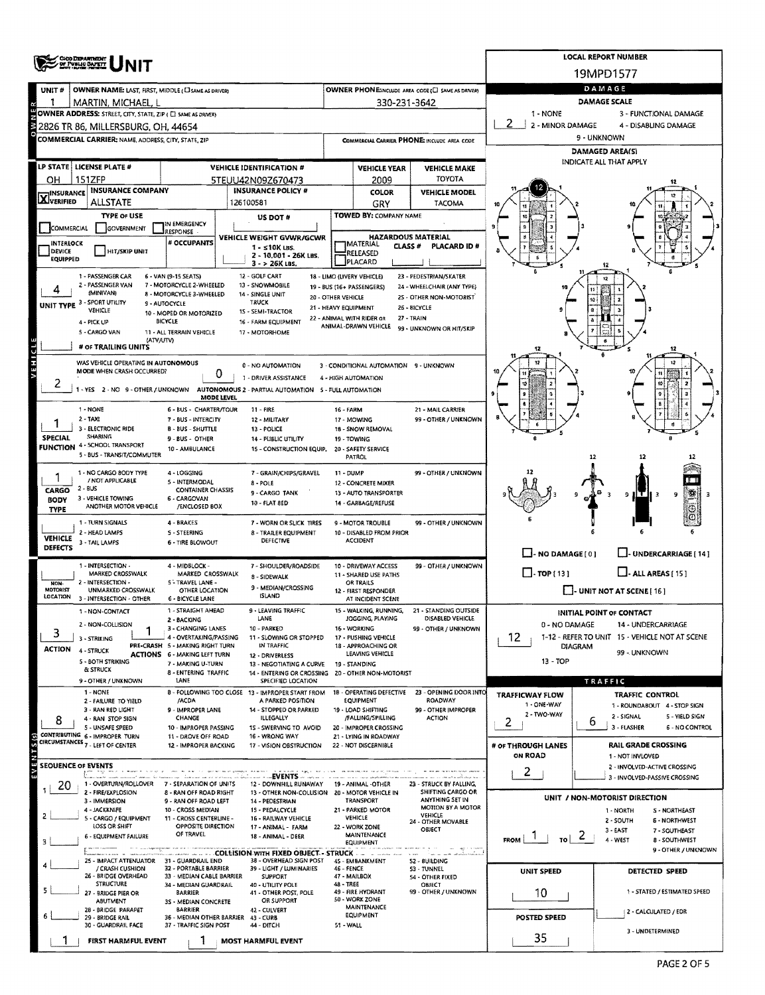|                                                                                                                                                                                                                                                         | <b>CHO DEPARTMENT</b><br>OF PUBLIC SAPETY                                                                                  |                                                                                | <b>LOCAL REPORT NUMBER</b>                                                             |                                                                                   |                                                               |                                                   |                                                                  |                                                               |  |  |  |  |  |
|---------------------------------------------------------------------------------------------------------------------------------------------------------------------------------------------------------------------------------------------------------|----------------------------------------------------------------------------------------------------------------------------|--------------------------------------------------------------------------------|----------------------------------------------------------------------------------------|-----------------------------------------------------------------------------------|---------------------------------------------------------------|---------------------------------------------------|------------------------------------------------------------------|---------------------------------------------------------------|--|--|--|--|--|
|                                                                                                                                                                                                                                                         |                                                                                                                            |                                                                                |                                                                                        |                                                                                   |                                                               |                                                   |                                                                  | 19MPD1577                                                     |  |  |  |  |  |
| UNIT#                                                                                                                                                                                                                                                   | OWNER NAME: LAST, FIRST, MIDDLE (CI SAME AS DRIVER)                                                                        |                                                                                |                                                                                        |                                                                                   |                                                               | OWNER PHONE:INCLUDE AREA CODE (C) SAME AS DRIVERY | DAMAGE                                                           |                                                               |  |  |  |  |  |
| 1                                                                                                                                                                                                                                                       | MARTIN, MICHAEL, L<br>OWNER ADDRESS: STREET, CITY, STATE, ZIP ( C SAME AS ORIVER)                                          |                                                                                |                                                                                        | 330-231-3642                                                                      | <b>DAMAGE SCALE</b><br>1 - NONE                               |                                                   |                                                                  |                                                               |  |  |  |  |  |
|                                                                                                                                                                                                                                                         | 2826 TR 86, MILLERSBURG, OH, 44654                                                                                         |                                                                                |                                                                                        |                                                                                   |                                                               |                                                   | 2 - MINOR DAMAGE                                                 | 3 - FUNCTIONAL DAMAGE<br>4 - DISABLING DAMAGE                 |  |  |  |  |  |
|                                                                                                                                                                                                                                                         | <b>COMMERCIAL CARRIER: NAME ADDRESS, CITY, STATE, ZIP</b>                                                                  |                                                                                |                                                                                        |                                                                                   |                                                               | COMMERCIAL CARRIER PHONE: INCLUDE AREA CODE       |                                                                  | 9 - UNKNOWN                                                   |  |  |  |  |  |
|                                                                                                                                                                                                                                                         |                                                                                                                            |                                                                                |                                                                                        |                                                                                   |                                                               |                                                   |                                                                  | <b>DAMAGED AREA(S)</b>                                        |  |  |  |  |  |
|                                                                                                                                                                                                                                                         | LP STATE LICENSE PLATE #                                                                                                   |                                                                                | <b>VEHICLE IDENTIFICATION #</b>                                                        |                                                                                   | <b>VEHICLE YEAR</b>                                           | <b>VEHICLE MAKE</b>                               |                                                                  | INDICATE ALL THAT APPLY                                       |  |  |  |  |  |
| он                                                                                                                                                                                                                                                      | 151ZFP                                                                                                                     |                                                                                | 5TEUU42N09Z670473                                                                      |                                                                                   | 2009                                                          | TOYOTA                                            |                                                                  |                                                               |  |  |  |  |  |
| $\mathbf{X}$ Insurance                                                                                                                                                                                                                                  | <b>INSURANCE COMPANY</b><br><b>ALLSTATE</b>                                                                                |                                                                                | <b>INSURANCE POLICY #</b>                                                              |                                                                                   | COLOR                                                         | <b>VEHICLE MODEL</b>                              |                                                                  |                                                               |  |  |  |  |  |
|                                                                                                                                                                                                                                                         | <b>TYPE OF USE</b>                                                                                                         |                                                                                | 126100581<br>US DOT #                                                                  |                                                                                   | GRY<br><b>TOWED BY: COMPANY NAME</b>                          | TACOMA                                            |                                                                  |                                                               |  |  |  |  |  |
| <b>COMMERCIAL</b>                                                                                                                                                                                                                                       | GOVERNMENT                                                                                                                 | IN EMERGENCY<br>RESPONSE                                                       |                                                                                        |                                                                                   |                                                               |                                                   |                                                                  |                                                               |  |  |  |  |  |
| INTERLOCK                                                                                                                                                                                                                                               |                                                                                                                            | # OCCUPANTS                                                                    | VEHICLE WEIGHT GVWR/GCWR<br>$1 - 510K$ LBS.                                            | <b>HAZARDOUS MATERIAL</b><br><b>MATERIAL</b><br>CLASS <sup>#</sup><br>PLACARD ID# |                                                               |                                                   |                                                                  |                                                               |  |  |  |  |  |
| DEVICE<br>EQUIPPED                                                                                                                                                                                                                                      | HIT/SKIP UNIT                                                                                                              |                                                                                | 2 - 10,001 - 26K LBS.                                                                  |                                                                                   | RELEASED                                                      |                                                   |                                                                  |                                                               |  |  |  |  |  |
| PLACARD<br>$3 - 26K$ LBS.<br>12 - GOLF CART<br>1 - PASSENGER CAR<br>6 - VAN (9-15 SEATS)<br>18 - LIMO (LIVERY VEHICLE)<br>23 - PEDESTRIAN/SKATER                                                                                                        |                                                                                                                            |                                                                                |                                                                                        |                                                                                   |                                                               |                                                   |                                                                  |                                                               |  |  |  |  |  |
|                                                                                                                                                                                                                                                         | 2 - PASSENGER VAN                                                                                                          | 7 - MOTORCYCLE 2-WHEELED<br>13 - SNOWMOBILE                                    | 24 - WHEELCHAIR (ANY TYPE)                                                             |                                                                                   |                                                               |                                                   |                                                                  |                                                               |  |  |  |  |  |
|                                                                                                                                                                                                                                                         | (MINIVAN)<br>UNIT TYPE 3 - SPORT UTILITY                                                                                   | 8 - MOTORCYCLE 3-WHEELED<br>9 - AUTOCYCLE                                      | 14 - SINGLE UNIT<br>20 - OTHER VEHICLE<br><b>TRUCK</b><br>21 - HEAVY EQUIPMENT         | 25 - OTHER NON-MOTORIST<br>26 - BICYCLE                                           |                                                               |                                                   |                                                                  |                                                               |  |  |  |  |  |
|                                                                                                                                                                                                                                                         | VEHICLE<br>4 - PICK UP                                                                                                     | 15 - SEMI-TRACTOR<br>10 - MOPED OR MOTORIZED<br>BICYCLE<br>16 - FARM EQUIPMENT | 27 - TRAIN                                                                             |                                                                                   |                                                               |                                                   |                                                                  |                                                               |  |  |  |  |  |
|                                                                                                                                                                                                                                                         | 5 - CARGO VAN<br>11 - ALL TERRAIN VEHICLE                                                                                  |                                                                                |                                                                                        |                                                                                   |                                                               |                                                   |                                                                  |                                                               |  |  |  |  |  |
|                                                                                                                                                                                                                                                         | (ATV/UTV)<br># or TRAILING UNITS                                                                                           |                                                                                |                                                                                        |                                                                                   |                                                               |                                                   | 12                                                               |                                                               |  |  |  |  |  |
| АТРІНЗЛ                                                                                                                                                                                                                                                 | WAS VEHICLE OPERATING IN AUTONOMOUS                                                                                        |                                                                                |                                                                                        |                                                                                   |                                                               |                                                   |                                                                  |                                                               |  |  |  |  |  |
|                                                                                                                                                                                                                                                         | MODE WHEN CRASH OCCURRED?                                                                                                  | 0                                                                              | 0 - NO AUTOMATION<br>1 - DRIVER ASSISTANCE                                             |                                                                                   | 3 - CONDITIONAL AUTOMATION 9 - UNKNOWN<br>4 - HIGH AUTOMATION |                                                   |                                                                  |                                                               |  |  |  |  |  |
|                                                                                                                                                                                                                                                         |                                                                                                                            |                                                                                | - YES 2 - NO 9 - OTHER / UNKNOWN AUTONOMOUS 2 - PARTIAL AUTOMATION 5 - FULL AUTOMATION |                                                                                   |                                                               |                                                   |                                                                  |                                                               |  |  |  |  |  |
|                                                                                                                                                                                                                                                         | 1 - NONE                                                                                                                   | MODE LEVEL<br>6 - BUS - CHARTER/TOUR                                           | <b>11 - FIRE</b>                                                                       | <b>16 - FARM</b>                                                                  |                                                               | 21 - MAIL CARRIER                                 |                                                                  |                                                               |  |  |  |  |  |
|                                                                                                                                                                                                                                                         | $2 - TAX$                                                                                                                  | 7 - BUS - INTERCITY                                                            | 12 - MILITARY                                                                          |                                                                                   | 17 - MOWING                                                   | 99 - OTHER / UNKNOWN                              |                                                                  |                                                               |  |  |  |  |  |
| <b>SPECIAL</b>                                                                                                                                                                                                                                          | 3 - ELECTRONIC RIDE<br><b>B - BUS - SHUTTLE</b><br>13 - POLICE<br><b>SHARING</b><br>9 - BUS - OTHER<br>14 - PUBLIC UTILITY |                                                                                |                                                                                        |                                                                                   | 18 - SNOW REMOVAL<br>19 - TOWING                              |                                                   |                                                                  |                                                               |  |  |  |  |  |
|                                                                                                                                                                                                                                                         | <b>FUNCTION 4 - 5CHOOL TRANSPORT</b><br>10 - AMBULANCE<br>15 - CONSTRUCTION EQUIP,<br>5 - BUS - TRANSIT/COMMUTER           |                                                                                |                                                                                        |                                                                                   |                                                               |                                                   |                                                                  |                                                               |  |  |  |  |  |
|                                                                                                                                                                                                                                                         |                                                                                                                            |                                                                                |                                                                                        |                                                                                   | PATROL                                                        |                                                   |                                                                  | 12<br>12                                                      |  |  |  |  |  |
|                                                                                                                                                                                                                                                         | 1 - NO CARGO 8ODY TYPE<br>/ NOT APPLICABLE                                                                                 | 4 - LOGGING<br>5 - INTERMODAL                                                  | 7 - GRAIN/CHIPS/GRAVEL<br>8 - POLE                                                     | 11 - DUMP                                                                         | 12 - CONCRETE MIXER                                           | 99 - OTHER / UNKNOWN                              |                                                                  |                                                               |  |  |  |  |  |
| CARGO<br><b>BODY</b>                                                                                                                                                                                                                                    | 2 - BUS<br>3 - VEHICLE TOWING                                                                                              | <b>CONTAINER CHASSIS</b><br>6 - CARGOVAN                                       | 9 - CARGO TANK                                                                         |                                                                                   | 13 - AUTO TRANSPORTER                                         |                                                   |                                                                  | 9<br>9                                                        |  |  |  |  |  |
| <b>TYPE</b>                                                                                                                                                                                                                                             | ANOTHER MOTOR VEHICLE                                                                                                      | /ENCLOSED BOX                                                                  | 10 - FLAT 8ED                                                                          |                                                                                   | 14 - GARBAGE/REFUSE                                           |                                                   |                                                                  |                                                               |  |  |  |  |  |
|                                                                                                                                                                                                                                                         | 1 - TURN SIGNALS                                                                                                           | 4 - BRAKES                                                                     | 7 - WORN OR SLICK TIRES                                                                |                                                                                   | 9 - MOTOR TROUBLE                                             | 99 - OTHER / UNKNOWN                              |                                                                  |                                                               |  |  |  |  |  |
| <b>VEHICLE</b>                                                                                                                                                                                                                                          | 2 - HEAD LAMPS<br>3 - TAIL LAMPS                                                                                           | 5 - STEERING<br><b>6 - TIRE BLOWOUT</b>                                        | 8 - TRAILER EQUIPMENT<br>DEFECTIVE                                                     |                                                                                   | 10 - DISABLED FROM PRIOR<br><b>ACCIDENT</b>                   |                                                   |                                                                  |                                                               |  |  |  |  |  |
| <b>DEFECTS</b>                                                                                                                                                                                                                                          |                                                                                                                            |                                                                                |                                                                                        |                                                                                   |                                                               |                                                   | $\Box$ - NO DAMAGE $[0]$                                         | U-UNDERCARRIAGE [14]                                          |  |  |  |  |  |
|                                                                                                                                                                                                                                                         | 1 - INTERSECTION -<br>MARKED CROSSWALK                                                                                     | 4 - MIDBLOCK -<br>MARKED CROSSWALK                                             | 7 - SHOULDER/ROADSIDE                                                                  |                                                                                   | 10 - DRIVEWAY ACCESS<br>11 - SHARED USE PATHS                 | 99 - OTHER / UNKNOWN                              | $\Box$ - TOP [13]                                                | $\Box$ - ALL AREAS (15)                                       |  |  |  |  |  |
| NON-<br><b>MOTORIST</b>                                                                                                                                                                                                                                 | INTERSECTION -<br>UNMARKED CROSSWALK                                                                                       | 5 - TRAVEL LANE -<br>OTHER LOCATION                                            | 8 - SIDEWALK<br>9 - MEDIAN/CROSSING                                                    |                                                                                   | OR TRAILS                                                     |                                                   |                                                                  | I-UNIT NOT AT SCENE [ 16 ]                                    |  |  |  |  |  |
| LOCATION                                                                                                                                                                                                                                                | 3 - INTERSECTION - OTHER                                                                                                   | 6 - BICYCLE LANE                                                               | <b>ISLAND</b>                                                                          |                                                                                   | 12 - FIRST RESPONDER<br>AT INCIDENT SCENE                     |                                                   |                                                                  |                                                               |  |  |  |  |  |
|                                                                                                                                                                                                                                                         | 1 - NON-CONTACT                                                                                                            | 1 - STRAIGHT AHEAD<br>2 - BACKING                                              | 9 - LEAVING TRAFFIC<br>LANE                                                            |                                                                                   | 15 - WALKING, RUNNING,<br>JOGGING, PLAYING                    | 21 - STANDING OUTSIDE<br>DISABLED VEHICLE         |                                                                  | INITIAL POINT OF CONTACT                                      |  |  |  |  |  |
| 3                                                                                                                                                                                                                                                       | 2 - NON-COLLISION                                                                                                          | 3 - CHANGING LANES                                                             | 10 - PARKED                                                                            | 16 - WORKING<br>99 - OTHER / UNKNOWN                                              |                                                               |                                                   | 0 - NO DAMAGE<br>14 - UNDERCARRIAGE                              |                                                               |  |  |  |  |  |
| <b>ACTION</b>                                                                                                                                                                                                                                           | 3 - STRIKING                                                                                                               | 4 - OVERTAKING/PASSING<br>PRE-CRASH 5 - MAKING RIGHT TURN                      | 11 - SLOWING OR STOPPED<br>IN TRAFFIC                                                  |                                                                                   | 17 - PUSHING VEHICLE<br>18 - APPROACHING OR                   |                                                   | 1-12 - REFER TO UNIT 15 - VEHICLE NOT AT SCENE<br>12.<br>DIAGRAM |                                                               |  |  |  |  |  |
|                                                                                                                                                                                                                                                         | 4 - STRUCK<br>5 - BOTH STRIKING                                                                                            | <b>ACTIONS 6 - MAKING LEFT TURN</b><br>7 - MAKING U-TURN                       | 12 - DRIVERLESS<br>13 - NEGOTIATING A CURVE                                            |                                                                                   | LEAVING VEHICLE<br>19 - STANDING                              |                                                   | 99 - UNKNOWN<br>13 - TOP                                         |                                                               |  |  |  |  |  |
|                                                                                                                                                                                                                                                         | & STRUCK                                                                                                                   | 8 - ENTERING TRAFFIC                                                           | 14 - ENTERING OR CROSSING 20 - OTHER NON-MOTORIST                                      |                                                                                   |                                                               |                                                   |                                                                  |                                                               |  |  |  |  |  |
|                                                                                                                                                                                                                                                         | 9 - OTHER / UNKNOWN<br>1 - NONE                                                                                            | LANE                                                                           | SPECIFIED LOCATION<br>B - FOLLOWING TOO CLOSE 13 - IMPROPER START FROM                 |                                                                                   | <b>18 - OPERATING DEFECTIVE</b>                               | 23 - OPENING DOOR INTO                            | <b>TRAFFICWAY FLOW</b>                                           | TRAFFIC<br><b>TRAFFIC CONTROL</b>                             |  |  |  |  |  |
|                                                                                                                                                                                                                                                         | 2 - FAILURE TO YIELD<br>3 - RAN RED LIGHT                                                                                  | /ACDA<br>9 - IMPROPER LANE                                                     | A PARKED POSITION<br>14 - STOPPED OR PARKED                                            |                                                                                   | EQUIPMENT<br>19 - LOAD SHIFTING                               | <b>ROADWAY</b><br>99 - OTHER IMPROPER             | 1 - ONE-WAY                                                      | 1 - ROUNDABOUT 4 - STOP SIGN                                  |  |  |  |  |  |
| 8                                                                                                                                                                                                                                                       | 4 - RAN STOP SIGN                                                                                                          | CHANGE                                                                         | <b>ILLEGALLY</b>                                                                       |                                                                                   | /FALLING/SPILLING                                             | <b>ACTION</b>                                     | 2 - TWO-WAY<br>2                                                 | 2 - SIGNAL<br>5 - YIELD SIGN<br>6                             |  |  |  |  |  |
|                                                                                                                                                                                                                                                         | 5 - UNSAFE SPEED<br>CONTRIBUTING 6 - IMPROPER TURN                                                                         | 10 - IMPROPER PASSING<br>11 - DROVE OFF ROAD                                   | 15 - SWERVING TO AVOID<br>16 - WRONG WAY                                               |                                                                                   | 20 - IMPROPER CROSSING<br>21 - LYING IN ROADWAY               |                                                   |                                                                  | 3 - FLASHER<br>6 - NO CONTROL                                 |  |  |  |  |  |
| (s) 5                                                                                                                                                                                                                                                   | CIRCUMSTANCES 7 - LEFT OF CENTER                                                                                           | 12 - IMPROPER BACKING                                                          | 17 - VISION OBSTRUCTION                                                                |                                                                                   | 22 - NOT DISCERNIBLE                                          |                                                   | # OF THROUGH LANES<br><b>ON ROAD</b>                             | <b>RAIL GRADE CROSSING</b>                                    |  |  |  |  |  |
|                                                                                                                                                                                                                                                         | <b>SEQUENCE OF EVENTS</b>                                                                                                  |                                                                                |                                                                                        |                                                                                   |                                                               |                                                   |                                                                  | 1 - NOT INVLOVED<br>2 - INVOLVED-ACTIVE CROSSING              |  |  |  |  |  |
|                                                                                                                                                                                                                                                         | 1 - OVERTURN/ROLLOVER 7 - SEPARATION OF UNITS                                                                              |                                                                                | 12 - DOWNHILL RUNAWAY 19 - ANIMAL -OTHER                                               |                                                                                   |                                                               | 23 - STRUCK BY FALLING,                           | $\mathbf{2}$                                                     | 3 - INVOLVED-PASSIVE CROSSING                                 |  |  |  |  |  |
| 20                                                                                                                                                                                                                                                      | 2 - FIRE/EXPLOSION                                                                                                         | 8 - RAN OFF ROAD RIGHT                                                         | 13 - OTHER NON-COLLISION 20 - MOTOR VEHICLE IN                                         |                                                                                   | TRANSPORT                                                     | SHIFTING CARGO OR<br>ANYTHING SET IN              |                                                                  | UNIT / NON-MOTORIST DIRECTION                                 |  |  |  |  |  |
|                                                                                                                                                                                                                                                         | 3 - IMMERSION<br>4 - JACKKNIFE                                                                                             | 9 - RAN OFF ROAD LEFT<br>10 - CROSS MEDIAN                                     | 14 - PEDESTRIAN<br>15 - PEDALCYCLE                                                     |                                                                                   | 21 - PARKED MOTOR                                             | <b>MOTION BY A MOTOR</b><br>VEHICLE               |                                                                  | 1 - NORTH<br>S - NORTHEAST                                    |  |  |  |  |  |
|                                                                                                                                                                                                                                                         | 5 - CARGO / EQUIPMENT<br>LOSS OR SHIFT                                                                                     | 11 - CROSS CENTERLINE -<br>OPPOSITE DIRECTION                                  | 16 - RAILWAY VEHICLE<br>17 - ANIMAL - FARM                                             |                                                                                   | <b>AEHICTE</b><br>22 - WORK ZONE                              | 24 - OTHER MOVABLE<br>OBJECT                      |                                                                  | 2 - SOUTH<br><b>6 - NORTHWEST</b>                             |  |  |  |  |  |
| з                                                                                                                                                                                                                                                       | 6 - EQUIPMENT FAILURE                                                                                                      | OF TRAVEL                                                                      | 18 - ANIMAL - DEER                                                                     |                                                                                   | MAINTENANCE<br><b>EQUIPMENT</b>                               |                                                   | $\frac{2}{10}$<br><b>FROM</b>                                    | 3 - EAST<br>7 - SOUTHEAST<br>4 - WEST<br><b>8 - SOUTHWEST</b> |  |  |  |  |  |
| $\mathcal{F}^{(1)}$ and $\mathcal{F}^{(2)}$ and a subsequent properties of the field $\mathcal{F}^{(1)}$<br>$\alpha\alpha\beta\equiv -\frac{1}{2} \frac{d\mathbf{r}}{d\mathbf{r}}\cdot\mathbf{r}$ . It cannot<br>9 - OTHER / UNKNOWN<br>a a ao mais mai |                                                                                                                            |                                                                                |                                                                                        |                                                                                   |                                                               |                                                   |                                                                  |                                                               |  |  |  |  |  |
|                                                                                                                                                                                                                                                         | 25 - IMPACT ATTENUATOR 31 - GUARDRAIL END<br>/ CRASH CUSHION                                                               | 32 - PORTABLE BARRIER                                                          | 38 - OVERHEAD SIGN POST<br>39 - LIGHT / LUMINARIES                                     | 46 - FENCE                                                                        | 45 - EMBANKMENT                                               | 52 - BUILDING<br>53 - TUNNEL                      | <b>UNIT SPEED</b>                                                | DETECTED SPEED                                                |  |  |  |  |  |
|                                                                                                                                                                                                                                                         | 26 - BRIDGE OVERHEAD<br><b>STRUCTURE</b>                                                                                   | 33 - MEDIAN CABLE BARRIER<br>34 - MEDIAN GUARDRAIL                             | SUPPORT<br>40 - UTILITY POLE                                                           | 48 - TREE                                                                         | 47 - MAILBOX                                                  | <b>S4 - OTHER FIXED</b><br><b>OBJECT</b>          |                                                                  |                                                               |  |  |  |  |  |
|                                                                                                                                                                                                                                                         | 27 - BRIDGE PIER OR<br><b>ABUTMENT</b>                                                                                     | <b>BARRIER</b><br>3S - MEDIAN CONCRETE                                         | 41 - OTHER POST, POLE<br>OR SUPPORT                                                    |                                                                                   | 49 - FIRE HYDRANT<br>50 - WORK ZONE                           | 99 - OTHER / UNKNOWN                              | 10                                                               | 1 - STATED / ESTIMATED SPEED                                  |  |  |  |  |  |
|                                                                                                                                                                                                                                                         | 28 - BRIDGE PARAPET<br>29 - BRIDGE RAIL                                                                                    | <b>BARRIER</b><br>36 - MEDIAN OTHER BARRIER 43 - CURB                          | 42 - CULVERT                                                                           |                                                                                   | MAINTENANCE<br><b>EQUIPMENT</b>                               |                                                   | POSTED SPEED                                                     | 2 - CALCULATED / EDR                                          |  |  |  |  |  |
|                                                                                                                                                                                                                                                         | 30 - GUARDRAIL FACE                                                                                                        | 37 - TRAFFIC SIGN POST                                                         | 44 - DITCH                                                                             | 51 - WALL                                                                         |                                                               |                                                   |                                                                  | 3 - UNDETERMINED                                              |  |  |  |  |  |
|                                                                                                                                                                                                                                                         | <b>FIRST HARMFUL EVENT</b>                                                                                                 | ı                                                                              | <b>MOST HARMFUL EVENT</b>                                                              |                                                                                   |                                                               |                                                   | 35                                                               |                                                               |  |  |  |  |  |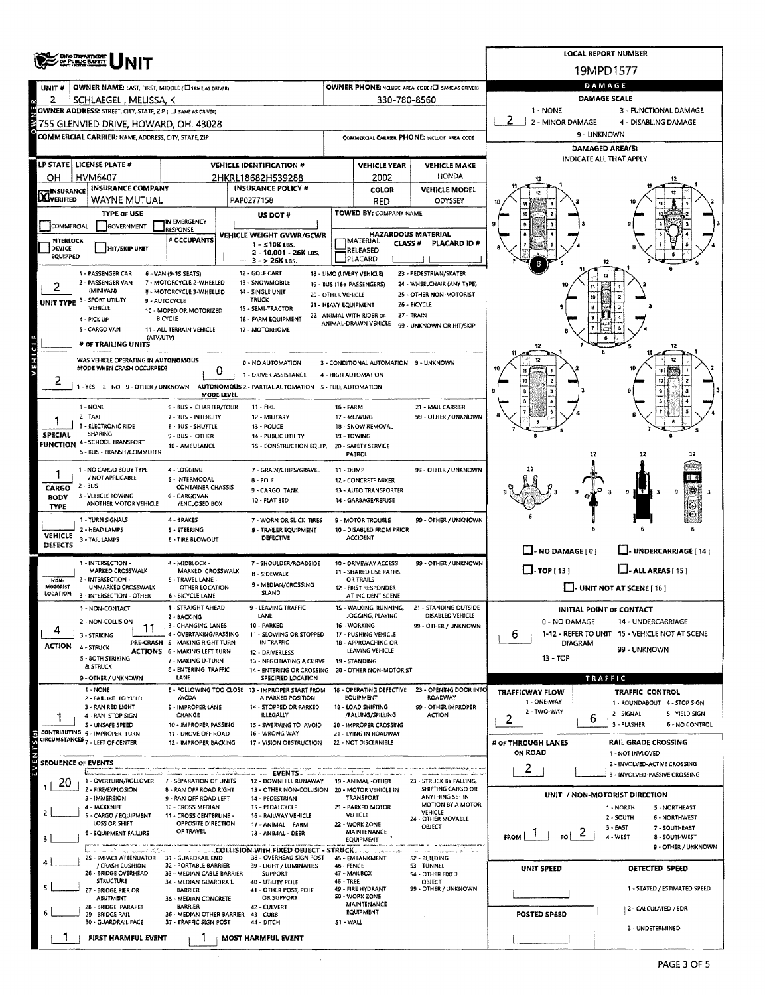|                                                                                                                     | <b>OHO DEPARTMENT</b><br>OF PUBLIC BAFRIT                                             |                                                           | <b>LOCAL REPORT NUMBER</b>                                                           |                                                                              |                                                   |                                                       |                                                                               |                                                        |  |  |  |  |  |  |
|---------------------------------------------------------------------------------------------------------------------|---------------------------------------------------------------------------------------|-----------------------------------------------------------|--------------------------------------------------------------------------------------|------------------------------------------------------------------------------|---------------------------------------------------|-------------------------------------------------------|-------------------------------------------------------------------------------|--------------------------------------------------------|--|--|--|--|--|--|
|                                                                                                                     |                                                                                       |                                                           |                                                                                      |                                                                              |                                                   |                                                       | 19MPD1577                                                                     |                                                        |  |  |  |  |  |  |
| UNIT#                                                                                                               | OWNER NAME: LAST, FIRST, MIDDLE (C) SAME AS DRIVER)                                   |                                                           |                                                                                      |                                                                              |                                                   | OWNER PHONE:INCLUDE AREA CODE (E) SAME AS DRIVER)     | DAMAGE                                                                        |                                                        |  |  |  |  |  |  |
| 2                                                                                                                   | SCHLAEGEL, MELISSA, K<br>OWNER ADDRESS: STREET, CITY, STATE, ZIP ( C) SAME AS DRIVERY |                                                           |                                                                                      | 330-780-8560                                                                 | DAMAGE SCALE<br>1 - NONE<br>3 - FUNCTIONAL DAMAGE |                                                       |                                                                               |                                                        |  |  |  |  |  |  |
|                                                                                                                     | 755 GLENVIED DRIVE, HOWARD, OH, 43028                                                 |                                                           |                                                                                      |                                                                              |                                                   |                                                       | 2 - MINOR DAMAGE                                                              | 4 - DISABLING DAMAGE                                   |  |  |  |  |  |  |
|                                                                                                                     | <b>COMMERCIAL CARRIER: NAME, ADDRESS, CITY, STATE, ZIP</b>                            |                                                           |                                                                                      |                                                                              |                                                   | <b>COMMERCIAL CARRIER PHONE: INCLUDE AREA CODE</b>    |                                                                               | 9 - UNKNOWN                                            |  |  |  |  |  |  |
|                                                                                                                     |                                                                                       |                                                           |                                                                                      |                                                                              |                                                   | <b>DAMAGED AREA(S)</b>                                |                                                                               |                                                        |  |  |  |  |  |  |
|                                                                                                                     | LP STATE   LICENSE PLATE #                                                            |                                                           | <b>VEHICLE IDENTIFICATION #</b>                                                      |                                                                              | <b>VEHICLE YEAR</b>                               | <b>VEHICLE MAKE</b>                                   |                                                                               | INDICATE ALL THAT APPLY                                |  |  |  |  |  |  |
| OН                                                                                                                  | HVM6407                                                                               |                                                           | 2HKRL18682H539288                                                                    | <b>HONDA</b><br>2002                                                         |                                                   |                                                       |                                                                               |                                                        |  |  |  |  |  |  |
| <b>INSURANCE</b><br><b>X</b> VERIFIED                                                                               | <b>INSURANCE COMPANY</b><br>WAYNE MUTUAL                                              |                                                           | <b>INSURANCE POLICY #</b><br>PAP0277158                                              |                                                                              | <b>COLOR</b><br><b>RED</b>                        | <b>VEHICLE MODEL</b><br>ODYSSEY                       |                                                                               |                                                        |  |  |  |  |  |  |
|                                                                                                                     | <b>TYPE OF USE</b>                                                                    |                                                           | US DOT #                                                                             |                                                                              | TOWED BY: COMPANY NAME                            |                                                       |                                                                               |                                                        |  |  |  |  |  |  |
| COMMERCIAL                                                                                                          | GOVERNMENT                                                                            | IN EMERGENCY<br>RESPONSE                                  | VEHICLE WEIGHT GVWR/GCWR                                                             |                                                                              |                                                   |                                                       |                                                                               |                                                        |  |  |  |  |  |  |
| <b>INTERLOCK</b>                                                                                                    |                                                                                       | # OCCUPANTS                                               | <b>HAZARDOUS MATERIAL</b><br><b>IMATERIAL</b><br><b>CLASS#</b><br><b>PLACARD ID#</b> |                                                                              |                                                   |                                                       |                                                                               |                                                        |  |  |  |  |  |  |
| DEVICE<br><b>EQUIPPED</b>                                                                                           | HIT/SKIP UNIT                                                                         |                                                           | 2 - 10,001 - 26K LBS.<br>$3 - 26K$ LBS.                                              |                                                                              | RELEASED<br>PLACARD                               |                                                       |                                                                               |                                                        |  |  |  |  |  |  |
| 1 - PASSENGER CAR<br>6 - VAN (9-15 SEATS)<br>12 - GOLF CART<br>18 - LIMO (LIVERY VEHICLE)<br>23 - PEDESTRIAN/SKATER |                                                                                       |                                                           |                                                                                      |                                                                              |                                                   |                                                       |                                                                               |                                                        |  |  |  |  |  |  |
|                                                                                                                     | 2 - PASSENGER VAN<br>(MINIVAN)                                                        | 7 - MOTORCYCLE 2-WHEELED<br>8 - MOTORCYCLE 3-WHEELED      | 13 - SNOWMOBILE<br>14 - SINGLE UNIT                                                  | 20 - OTHER VEHICLE                                                           | 19 - BUS (16+ PASSENGERS)                         | 24 - WHEELCHAIR (ANY TYPE)<br>25 - OTHER NON-MOTORIST |                                                                               |                                                        |  |  |  |  |  |  |
|                                                                                                                     | UNIT TYPE 3 - SPORT UTILITY<br>VEHICLE                                                | 9 - AUTOCYCLE                                             | <b>TRUCK</b><br>15 - SEMI-TRACTOR                                                    | 21 - HEAVY EQUIPMENT                                                         |                                                   | 26 - BICYCLE                                          | 10                                                                            |                                                        |  |  |  |  |  |  |
|                                                                                                                     | 4 - PICK UP                                                                           | 10 - MOPED OR MOTORIZED<br>BICYCLE                        | 16 - FARM EQUIPMENT                                                                  |                                                                              | 22 - ANIMAL WITH RIDER OR<br>ANIMAL-DRAWN VEHICLE | 27 - TRAIN<br>99 - UNKNOWN OR HIT/SKIP                |                                                                               |                                                        |  |  |  |  |  |  |
|                                                                                                                     | 5 - CARGO VAN<br>(ATV/UTV)                                                            | 11 - ALL TERRAIN VEHICLE                                  |                                                                                      |                                                                              |                                                   |                                                       |                                                                               |                                                        |  |  |  |  |  |  |
|                                                                                                                     | # OF TRAILING UNITS                                                                   |                                                           |                                                                                      |                                                                              |                                                   |                                                       |                                                                               | 12                                                     |  |  |  |  |  |  |
| VEHICLE                                                                                                             | WAS VEHICLE OPERATING IN AUTONOMOUS<br>MODE WHEN CRASH OCCURRED?                      |                                                           | 0 - NO AUTOMATION                                                                    |                                                                              | 3 - CONDITIONAL AUTOMATION 9 - UNKNOWN            |                                                       |                                                                               |                                                        |  |  |  |  |  |  |
| ۷                                                                                                                   |                                                                                       | 0                                                         | 1 - DRIVER ASSISTANCE                                                                |                                                                              | 4 - HIGH AUTOMATION                               |                                                       |                                                                               | 10                                                     |  |  |  |  |  |  |
|                                                                                                                     |                                                                                       | MODE LEVEL                                                | -YES 2-NO 9-OTHER / UNKNOWN AUTONOMOUS 2 - PARTIAL AUTOMATION 5 - FULL AUTOMATION    |                                                                              |                                                   |                                                       |                                                                               |                                                        |  |  |  |  |  |  |
|                                                                                                                     | 1 - NONE                                                                              | 6 - BUS - CHARTER/TOUR                                    | 11 - FIRE                                                                            | <b>16 - FARM</b>                                                             |                                                   | 21 - MAIL CARRIER                                     |                                                                               |                                                        |  |  |  |  |  |  |
|                                                                                                                     | 2 - TAXI<br>3 - ELECTRONIC RIDE                                                       | 7 - BUS - INTERCITY<br><b>B - BUS - SHUTTLE</b>           | 12 - MILITARY<br>13 - POLICE                                                         |                                                                              | 17 - MOWING<br>18 - SNOW REMOVAL                  | 99 - OTHER / UNKNOWN                                  |                                                                               |                                                        |  |  |  |  |  |  |
| <b>SPECIAL</b>                                                                                                      | SHARING<br><b>FUNCTION 4 - SCHOOL TRANSPORT</b>                                       | 9 - BUS - OTHER<br>10 - AMBULANCE                         | 14 - PUBLIC UTILITY                                                                  |                                                                              | 19 - TOWING<br>20 - SAFETY SERVICE                |                                                       |                                                                               |                                                        |  |  |  |  |  |  |
|                                                                                                                     | 5 - BUS - TRANSIT/COMMUTER                                                            |                                                           | 15 - CONSTRUCTION EQUIP.                                                             |                                                                              | <b>PATROL</b>                                     |                                                       |                                                                               | 12                                                     |  |  |  |  |  |  |
| J,                                                                                                                  | 1 - NO CARGO BODY TYPE                                                                | 4 - LOGGING                                               | 7 - GRAIN/CHIPS/GRAVEL                                                               | 11 - DUMP                                                                    |                                                   | 99 - OTHER / UNKNOWN                                  |                                                                               |                                                        |  |  |  |  |  |  |
| <b>CARGO</b>                                                                                                        | / NOT APPLICABLE<br>$2 - BUS$                                                         | 5 - INTERMODAL<br><b>CONTAINER CHASSIS</b>                | 8 - POLE<br>9 - CARGO TANK                                                           |                                                                              | 12 - CONCRETE MIXER<br>13 - AUTO TRANSPORTER      |                                                       |                                                                               |                                                        |  |  |  |  |  |  |
| <b>BODY</b>                                                                                                         | 3 - VEHICLE TOWING<br>ANOTHER MOTOR VEHICLE                                           | 6 - CARGOVAN<br>/ENCLOSED BOX                             | 10 - FLAT BED                                                                        |                                                                              | 14 - GARBAGE/REFUSE                               |                                                       |                                                                               | 9<br>н с                                               |  |  |  |  |  |  |
| <b>TYPE</b>                                                                                                         | 1 - TURN SIGNALS                                                                      | 4 - BRAKES                                                | 7 - WORN OR SLICK TIRES                                                              |                                                                              | 9 - MOTOR TROUBLE                                 | 99 - OTHER / UNKNOWN                                  |                                                                               |                                                        |  |  |  |  |  |  |
| <b>VEHICLE</b>                                                                                                      | 2 - HEAD LAMPS                                                                        | <b>S - STEERING</b>                                       | 8 - TRAILER EQUIPMENT                                                                |                                                                              | 10 - DISABLED FROM PRIOR<br><b>ACCIDENT</b>       |                                                       |                                                                               |                                                        |  |  |  |  |  |  |
| DEFECTS                                                                                                             | 3 - TAIL LAMPS                                                                        | <b>6 - TIRE BLOWOUT</b>                                   | DEFECTIVE                                                                            |                                                                              |                                                   |                                                       | $\Box$ - NO DAMAGE $[0]$<br>U-UNDERCARRIAGE [14]                              |                                                        |  |  |  |  |  |  |
|                                                                                                                     | 1 - INTERSECTION -                                                                    | 4 - MIDBLOCK -                                            | 7 - SHOULDER/ROADSIDE                                                                |                                                                              | 10 - DRIVEWAY ACCESS                              | 99 - OTHER / UNKNOWN                                  |                                                                               |                                                        |  |  |  |  |  |  |
| <b>NON-</b>                                                                                                         | MARKED CROSSWALK<br>2 - INTERSECTION -                                                | MARKED CROSSWALK<br>S - TRAVEL LANE -                     | <b>B-SIDEWALK</b>                                                                    |                                                                              | 11 - SHARED USE PATHS<br>OR TRAILS                |                                                       | $\Box$ TOP [13]<br>$\Box$ - ALL AREAS [ 15 ]                                  |                                                        |  |  |  |  |  |  |
| MOTORIST<br>LOCATION                                                                                                | <b>UNMARKED CROSSWALK</b><br>3 - INTERSECTION - OTHER                                 | <b>OTHER LOCATION</b><br>6 - BICYCLE LANE                 | 9 - MEDIAN/CROSSING<br><b>ISLAND</b>                                                 |                                                                              | 12 - FIRST RESPONDER<br>AT INCIDENT SCENE         | - UNIT NOT AT SCENE [ 16 ]                            |                                                                               |                                                        |  |  |  |  |  |  |
|                                                                                                                     | 1 - NON-CONTACT                                                                       | 1 - STRAIGHT AHEAD                                        | 9 - LEAVING TRAFFIC                                                                  |                                                                              |                                                   | 15 - WALKING, RUNNING. 21 - STANDING OUTSIDE          | INITIAL POINT OF CONTACT                                                      |                                                        |  |  |  |  |  |  |
|                                                                                                                     | 2 - NON-COLLISION                                                                     | 2 - BACKING<br>3 - CHANGING LANES                         | LANE<br>10 - PARKED                                                                  | JOGGING, PLAYING<br>DISABLED VEHICLE<br>16 - WORKING<br>99 - OTHER / UNKNOWN |                                                   |                                                       | 0 - NO DAMAGE<br>14 - UNDERCARRIAGE                                           |                                                        |  |  |  |  |  |  |
|                                                                                                                     | 3 - STRIKING                                                                          | 4 - OVERTAKING/PASSING<br>PRE-CRASH 5 - MAKING RIGHT TURN | 11 - SLOWING OR STOPPED<br>IN TRAFFIC                                                |                                                                              | 17 - PUSHING VEHICLE<br>18 - APPROACHING OR       |                                                       | 6<br>1-12 - REFER TO UNIT 15 - VEHICLE NOT AT SCENE<br>DIAGRAM                |                                                        |  |  |  |  |  |  |
| ACTION                                                                                                              | 4 - STRUCK<br>5 - 80TH STRIKING                                                       | <b>ACTIONS 6 - MAKING LEFT TURN</b>                       | 12 - DRIVERLESS                                                                      |                                                                              | LEAVING VEHICLE                                   |                                                       | 13 - TOP                                                                      | 99 - UNKNOWN                                           |  |  |  |  |  |  |
|                                                                                                                     | <b>&amp; STRUCK</b>                                                                   | 7 - MAKING U-TURN<br>8 - ENTERING TRAFFIC                 | 13 - NEGOTIATING A CURVE<br>14 - ENTERING OR CROSSING 20 - OTHER NON-MOTORIST        |                                                                              | 19 - STANDING                                     |                                                       |                                                                               |                                                        |  |  |  |  |  |  |
|                                                                                                                     | 9 - OTHER / UNKNOWN<br>1 - NONE                                                       | LANE                                                      | SPECIFIED LOCATION<br>8 - FOLLOWING TOO CLOSE 13 - IMPROPER START FROM               |                                                                              | 18 - OPERATING DEFECTIVE                          | 23 - OPENING DOOR INTO                                |                                                                               | TRAFFIC                                                |  |  |  |  |  |  |
|                                                                                                                     | 2 - FAILURE TO YIELD                                                                  | /ACDA                                                     | A PARKED POSITION                                                                    |                                                                              | <b>EQUIPMENT</b>                                  | <b>ROADWAY</b>                                        | TRAFFICWAY FLOW<br>1 - ONE-WAY                                                | <b>TRAFFIC CONTROL</b><br>1 - ROUNDABOUT 4 - STOP SIGN |  |  |  |  |  |  |
|                                                                                                                     | 3 - RAN RED LIGHT<br>4 - RAN STOP SIGN                                                | 9 - IMPROPER LANE<br>CHANGE                               | 14 - STOPPED OR PARKED<br>ILLEGALLY                                                  |                                                                              | 19 - LOAD SHIFTING<br>/FALLING/SPILLING           | 99 - OTHER IMPROPER<br><b>ACTION</b>                  | 2 - TWO-WAY<br>2                                                              | 2 - SIGNAL<br>5 - YIELD SIGN<br>6                      |  |  |  |  |  |  |
|                                                                                                                     | S - UNSAFE SPEED<br>CONTRIBUTING 6 - IMPROPER TURN                                    | 10 - IMPROPER PASSING<br>11 - DROVE OFF ROAD              | 15 - SWERVING TO AVOID<br>16 - WRONG WAY                                             |                                                                              | 20 - IMPROPER CROSSING<br>21 - LYING IN ROADWAY   |                                                       |                                                                               | 3 - FLASHER<br><b>6 - NO CONTROL</b>                   |  |  |  |  |  |  |
| $\overline{S}(s)$                                                                                                   | CIRCUMSTANCES 7 - LEFT OF CENTER                                                      | 12 - IMPROPER BACKING                                     | 17 - VISION OBSTRUCTION                                                              |                                                                              | 22 - NOT DISCERNIBLE                              |                                                       | # OF THROUGH LANES                                                            | RAIL GRADE CROSSING                                    |  |  |  |  |  |  |
|                                                                                                                     | <b>SEOUENCE OF EVENTS</b>                                                             |                                                           |                                                                                      |                                                                              |                                                   |                                                       | ON ROAD                                                                       | 1 - NOT INVLOVED<br>2 - INVOLVED-ACTIVE CROSSING       |  |  |  |  |  |  |
|                                                                                                                     | 1 - OVERTURN/ROLLOVER                                                                 | received the State<br>7 - SEPARATION OF UNITS             | EVENTS.<br>12 - DOWNHILL RUNAWAY                                                     |                                                                              | 19 - ANIMAL -OTHER                                | 23 - STRUCK BY FALLING,                               | $\mathbf{2}$                                                                  | 3 - INVOLVED-PASSIVE CROSSING                          |  |  |  |  |  |  |
| 20                                                                                                                  | 2 - FIRE/EXPLOSION                                                                    | 8 - RAN OFF ROAD RIGHT                                    | 13 - OTHER NON-COLLISION 20 - MOTOR VEHICLE IN                                       |                                                                              |                                                   | SHIFTING CARGO OR                                     |                                                                               | UNIT / NON-MOTORIST DIRECTION                          |  |  |  |  |  |  |
|                                                                                                                     | 3 - IMMERSION<br>4 - JACKKNIFE                                                        | 9 - RAN OFF ROAD LEFT<br>10 - CROSS MEDIAN                | 14 - PEDESTRIAN<br>15 - PEDALCYCLE                                                   |                                                                              | TRANSPORT<br>21 - PARKED MOTOR                    | ANYTHING SET IN<br>MOTION BY A MOTOR                  |                                                                               | 1 - NORTH<br><b>5 - NORTHEAST</b>                      |  |  |  |  |  |  |
| 2.                                                                                                                  | 5 - CARGO / EQUIPMENT<br><b>LOSS OR SHIFT</b>                                         | 11 - CROSS CENTERLINE -<br>OPPOSITE DIRECTION             | 16 - RAILWAY VEHICLE<br>17 - ANIMAL - FARM                                           |                                                                              | <b>VEHICLE</b><br>22 - WORK ZONE                  | VEHICLE<br>24 - OTHER MOVABLE<br>OBJECT               |                                                                               | 2 - SOUTH<br>6 - NORTHWEST                             |  |  |  |  |  |  |
| з                                                                                                                   | <b>6 - EQUIPMENT FAILURE</b>                                                          | OF TRAVEL                                                 | 18 - ANIMAL - DEER                                                                   |                                                                              | MAINTENANCE<br><b>EQUIPMENT</b>                   |                                                       | FROM $\begin{array}{ c c c c c }\n\hline\n1 & \text{ro} & 2 & 1\n\end{array}$ | 3 - EAST<br>7 - SOUTHEAST<br>4 - WEST<br>8 - SOUTHWEST |  |  |  |  |  |  |
|                                                                                                                     | a ment blir                                                                           |                                                           | COLLISION WITH FIXED OBJECT - STRUCK                                                 |                                                                              |                                                   | security of the con-                                  |                                                                               | 9 - OTHER / UNKNOWN                                    |  |  |  |  |  |  |
|                                                                                                                     | 25 - IMPACT ATTENUATOR 31 - GUARDRAIL END<br>/ CRASH CUSHIDN                          | 32 - PORTABLE BARRIER                                     | 3B - OVERHEAD SIGN POST<br>39 - LIGHT / LUMINARIES                                   | <b>46 - FENCE</b>                                                            | 45 - EMBANKMENT                                   | 52 - BUILDING<br>53 - TUNNEL                          | UNIT SPEED                                                                    | DETECTED SPEED                                         |  |  |  |  |  |  |
|                                                                                                                     | 26 - BRIDGE OVERHEAD<br><b>STRUCTURE</b>                                              | 33 - MEDIAN CABLE BARRIER<br>34 - MEDIAN GUARDRAIL        | <b>SUPPORT</b><br>40 - UTILITY POLE                                                  | 48 - TREE                                                                    | 47 - MAILBOX                                      | <b>S4 - OTHER FIXED</b><br>OBJECT                     |                                                                               |                                                        |  |  |  |  |  |  |
|                                                                                                                     | 27 - BRIDGE PIER OR<br>ABUTMENT                                                       | <b>BARRIER</b><br>3S - MEDIAN CONCRETE                    | 41 - OTHER POST, POLE<br>OR SUPPORT                                                  |                                                                              | 49 - FIRE HYDRANT<br>S0 - WORK ZONE               | 99 - OTHER / UNKNOWN                                  |                                                                               | 1 - STATED / ESTIMATED SPEED                           |  |  |  |  |  |  |
|                                                                                                                     | 28 - BRIDGE PARAPET<br>29 - BRIDGE RAIL                                               | <b>BARRIER</b><br>36 - MEDIAN OTHER BARRIER 43 - CURB     | 42 - CULVERT                                                                         |                                                                              | <b>MAINTENANCE</b><br><b>EQUIPMENT</b>            |                                                       | POSTED SPEED                                                                  | 2 - CALCULATED / EDR                                   |  |  |  |  |  |  |
|                                                                                                                     | 30 - GUARDRAIL FACE                                                                   | 37 - TRAFFIC SIGN POST                                    | 44 - DITCH                                                                           | S1 - WALL                                                                    |                                                   |                                                       |                                                                               | 3 - UNDETERMINED                                       |  |  |  |  |  |  |
|                                                                                                                     | FIRST HARMFUL EVENT                                                                   |                                                           | <b>MOST HARMFUL EVENT</b>                                                            |                                                                              |                                                   |                                                       |                                                                               |                                                        |  |  |  |  |  |  |

 $\mathcal{A}$